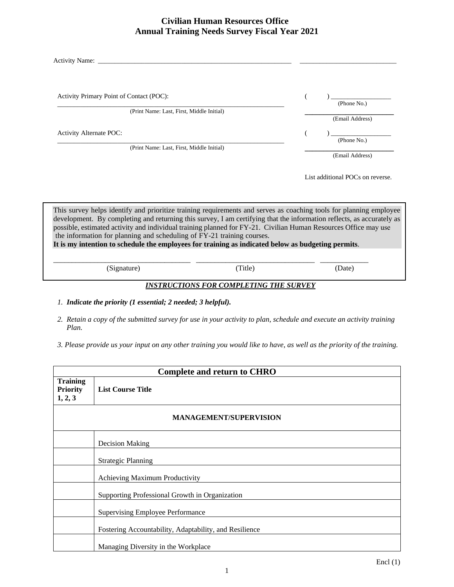#### **Civilian Human Resources Office Annual Training Needs Survey Fiscal Year 2021**

| Activity Name:                                                                                                                                                                                                                                                                                                                                                                                                                                                                                                                                 |         |                                  |
|------------------------------------------------------------------------------------------------------------------------------------------------------------------------------------------------------------------------------------------------------------------------------------------------------------------------------------------------------------------------------------------------------------------------------------------------------------------------------------------------------------------------------------------------|---------|----------------------------------|
| Activity Primary Point of Contact (POC):<br>(Print Name: Last, First, Middle Initial)                                                                                                                                                                                                                                                                                                                                                                                                                                                          |         | (Phone No.)<br>(Email Address)   |
| <b>Activity Alternate POC:</b>                                                                                                                                                                                                                                                                                                                                                                                                                                                                                                                 |         | (Phone No.)                      |
| (Print Name: Last, First, Middle Initial)                                                                                                                                                                                                                                                                                                                                                                                                                                                                                                      |         | (Email Address)                  |
|                                                                                                                                                                                                                                                                                                                                                                                                                                                                                                                                                |         | List additional POCs on reverse. |
| This survey helps identify and prioritize training requirements and serves as coaching tools for planning employee<br>development. By completing and returning this survey, I am certifying that the information reflects, as accurately as<br>possible, estimated activity and individual training planned for FY-21. Civilian Human Resources Office may use<br>the information for planning and scheduling of FY-21 training courses.<br>It is my intention to schedule the employees for training as indicated below as budgeting permits. |         |                                  |
| (Signature)                                                                                                                                                                                                                                                                                                                                                                                                                                                                                                                                    | (Title) | (Date)                           |

#### *INSTRUCTIONS FOR COMPLETING THE SURVEY*

- *1. Indicate the priority (1 essential; 2 needed; 3 helpful).*
- *2. Retain a copy of the submitted survey for use in your activity to plan, schedule and execute an activity training Plan.*
- *3. Please provide us your input on any other training you would like to have, as well as the priority of the training.*

| <b>Complete and return to CHRO</b>            |                                                        |
|-----------------------------------------------|--------------------------------------------------------|
| <b>Training</b><br><b>Priority</b><br>1, 2, 3 | <b>List Course Title</b>                               |
| <b>MANAGEMENT/SUPERVISION</b>                 |                                                        |
|                                               | Decision Making                                        |
|                                               | <b>Strategic Planning</b>                              |
|                                               | Achieving Maximum Productivity                         |
|                                               | Supporting Professional Growth in Organization         |
|                                               | <b>Supervising Employee Performance</b>                |
|                                               | Fostering Accountability, Adaptability, and Resilience |
|                                               | Managing Diversity in the Workplace                    |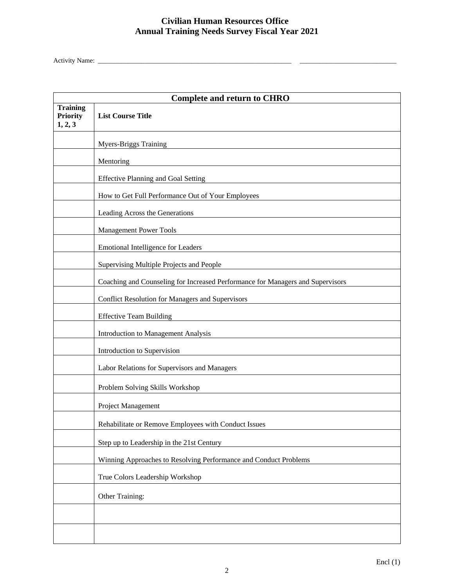# **Civilian Human Resources Office Annual Training Needs Survey Fiscal Year 2021**

Activity Name: \_\_\_\_\_\_\_\_\_\_\_\_\_\_\_\_\_\_\_\_\_\_\_\_\_\_\_\_\_\_\_\_\_\_\_\_\_\_\_\_\_\_\_\_\_\_\_\_\_\_\_\_\_\_\_\_\_\_ \_\_\_\_\_\_\_\_\_\_\_\_\_\_\_\_\_\_\_\_\_\_\_\_\_\_\_\_\_

|                                               | <b>Complete and return to CHRO</b>                                             |  |  |
|-----------------------------------------------|--------------------------------------------------------------------------------|--|--|
| <b>Training</b><br><b>Priority</b><br>1, 2, 3 | <b>List Course Title</b>                                                       |  |  |
|                                               | <b>Myers-Briggs Training</b>                                                   |  |  |
|                                               | Mentoring                                                                      |  |  |
|                                               | <b>Effective Planning and Goal Setting</b>                                     |  |  |
|                                               | How to Get Full Performance Out of Your Employees                              |  |  |
|                                               | Leading Across the Generations                                                 |  |  |
|                                               | <b>Management Power Tools</b>                                                  |  |  |
|                                               | Emotional Intelligence for Leaders                                             |  |  |
|                                               | Supervising Multiple Projects and People                                       |  |  |
|                                               | Coaching and Counseling for Increased Performance for Managers and Supervisors |  |  |
|                                               | Conflict Resolution for Managers and Supervisors                               |  |  |
|                                               | <b>Effective Team Building</b>                                                 |  |  |
|                                               | Introduction to Management Analysis                                            |  |  |
|                                               | Introduction to Supervision                                                    |  |  |
|                                               | Labor Relations for Supervisors and Managers                                   |  |  |
|                                               | Problem Solving Skills Workshop                                                |  |  |
|                                               | Project Management                                                             |  |  |
|                                               | Rehabilitate or Remove Employees with Conduct Issues                           |  |  |
|                                               | Step up to Leadership in the 21st Century                                      |  |  |
|                                               | Winning Approaches to Resolving Performance and Conduct Problems               |  |  |
|                                               | True Colors Leadership Workshop                                                |  |  |
|                                               | Other Training:                                                                |  |  |
|                                               |                                                                                |  |  |
|                                               |                                                                                |  |  |
|                                               |                                                                                |  |  |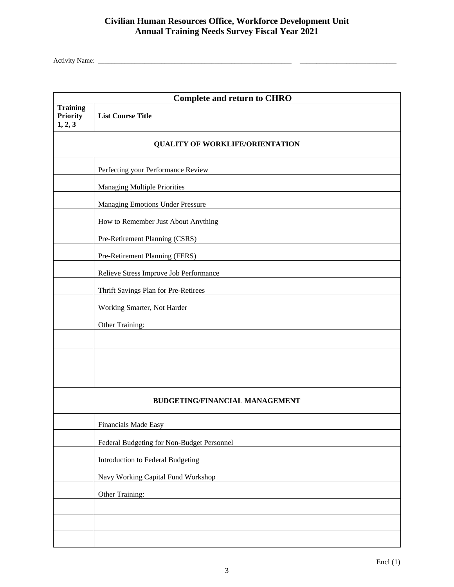# **Civilian Human Resources Office, Workforce Development Unit Annual Training Needs Survey Fiscal Year 2021**

Activity Name: \_\_\_\_\_\_\_\_\_\_\_\_\_\_\_\_\_\_\_\_\_\_\_\_\_\_\_\_\_\_\_\_\_\_\_\_\_\_\_\_\_\_\_\_\_\_\_\_\_\_\_\_\_\_\_\_\_\_ \_\_\_\_\_\_\_\_\_\_\_\_\_\_\_\_\_\_\_\_\_\_\_\_\_\_\_\_\_

| <b>Complete and return to CHRO</b>            |                                            |
|-----------------------------------------------|--------------------------------------------|
| <b>Training</b><br><b>Priority</b><br>1, 2, 3 | <b>List Course Title</b>                   |
| <b>QUALITY OF WORKLIFE/ORIENTATION</b>        |                                            |
|                                               | Perfecting your Performance Review         |
|                                               | <b>Managing Multiple Priorities</b>        |
|                                               | <b>Managing Emotions Under Pressure</b>    |
|                                               | How to Remember Just About Anything        |
|                                               | Pre-Retirement Planning (CSRS)             |
|                                               | Pre-Retirement Planning (FERS)             |
|                                               | Relieve Stress Improve Job Performance     |
|                                               | Thrift Savings Plan for Pre-Retirees       |
|                                               | Working Smarter, Not Harder                |
|                                               | Other Training:                            |
|                                               |                                            |
|                                               |                                            |
|                                               |                                            |
|                                               | <b>BUDGETING/FINANCIAL MANAGEMENT</b>      |
|                                               | Financials Made Easy                       |
|                                               | Federal Budgeting for Non-Budget Personnel |
|                                               | Introduction to Federal Budgeting          |
|                                               | Navy Working Capital Fund Workshop         |
|                                               | Other Training:                            |
|                                               |                                            |
|                                               |                                            |
|                                               |                                            |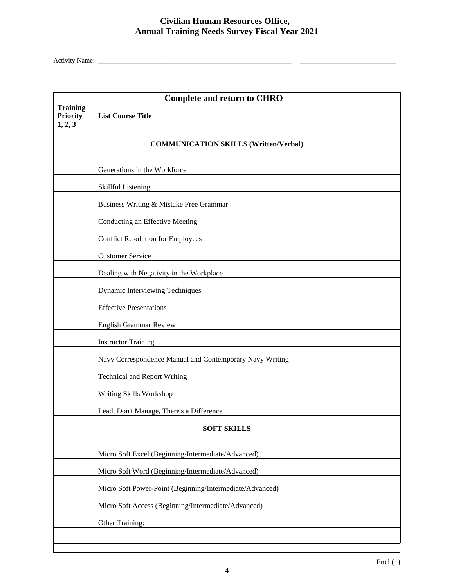# **Civilian Human Resources Office, Annual Training Needs Survey Fiscal Year 2021**

Activity Name: \_\_\_\_\_\_\_\_\_\_\_\_\_\_\_\_\_\_\_\_\_\_\_\_\_\_\_\_\_\_\_\_\_\_\_\_\_\_\_\_\_\_\_\_\_\_\_\_\_\_\_\_\_\_\_\_\_\_ \_\_\_\_\_\_\_\_\_\_\_\_\_\_\_\_\_\_\_\_\_\_\_\_\_\_\_\_\_

| <b>Complete and return to CHRO</b>            |                                                          |  |
|-----------------------------------------------|----------------------------------------------------------|--|
| <b>Training</b><br><b>Priority</b><br>1, 2, 3 | <b>List Course Title</b>                                 |  |
| <b>COMMUNICATION SKILLS (Written/Verbal)</b>  |                                                          |  |
|                                               | Generations in the Workforce                             |  |
|                                               | Skillful Listening                                       |  |
|                                               | Business Writing & Mistake Free Grammar                  |  |
|                                               | Conducting an Effective Meeting                          |  |
|                                               | <b>Conflict Resolution for Employees</b>                 |  |
|                                               | <b>Customer Service</b>                                  |  |
|                                               | Dealing with Negativity in the Workplace                 |  |
|                                               | Dynamic Interviewing Techniques                          |  |
|                                               | <b>Effective Presentations</b>                           |  |
|                                               | English Grammar Review                                   |  |
|                                               | <b>Instructor Training</b>                               |  |
|                                               | Navy Correspondence Manual and Contemporary Navy Writing |  |
|                                               | <b>Technical and Report Writing</b>                      |  |
|                                               | Writing Skills Workshop                                  |  |
|                                               | Lead, Don't Manage, There's a Difference                 |  |
|                                               | <b>SOFT SKILLS</b>                                       |  |
|                                               | Micro Soft Excel (Beginning/Intermediate/Advanced)       |  |
|                                               | Micro Soft Word (Beginning/Intermediate/Advanced)        |  |
|                                               | Micro Soft Power-Point (Beginning/Intermediate/Advanced) |  |
|                                               | Micro Soft Access (Beginning/Intermediate/Advanced)      |  |
|                                               | Other Training:                                          |  |
|                                               |                                                          |  |
|                                               |                                                          |  |